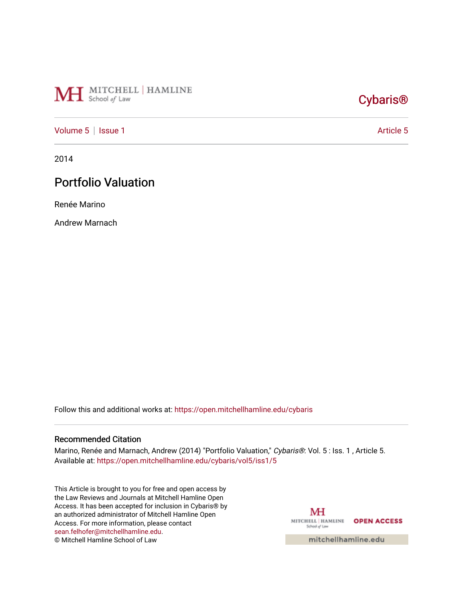

# [Cybaris®](https://open.mitchellhamline.edu/cybaris)

# [Volume 5](https://open.mitchellhamline.edu/cybaris/vol5) | [Issue 1](https://open.mitchellhamline.edu/cybaris/vol5/iss1) [Article 5](https://open.mitchellhamline.edu/cybaris/vol5/iss1/5) | Article 5 | Article 5 | Article 5 | Article 5 | Article 5 | Article 5 | Article 5 | Article 5 | Article 5 | Article 5 | Article 5 | Article 5 | Article 5 | Article 5 | Article 5 | Article 5 |

2014

# Portfolio Valuation

Renée Marino

Andrew Marnach

Follow this and additional works at: [https://open.mitchellhamline.edu/cybaris](https://open.mitchellhamline.edu/cybaris?utm_source=open.mitchellhamline.edu%2Fcybaris%2Fvol5%2Fiss1%2F5&utm_medium=PDF&utm_campaign=PDFCoverPages) 

#### Recommended Citation

Marino, Renée and Marnach, Andrew (2014) "Portfolio Valuation," Cybaris®: Vol. 5 : Iss. 1, Article 5. Available at: [https://open.mitchellhamline.edu/cybaris/vol5/iss1/5](https://open.mitchellhamline.edu/cybaris/vol5/iss1/5?utm_source=open.mitchellhamline.edu%2Fcybaris%2Fvol5%2Fiss1%2F5&utm_medium=PDF&utm_campaign=PDFCoverPages)

This Article is brought to you for free and open access by the Law Reviews and Journals at Mitchell Hamline Open Access. It has been accepted for inclusion in Cybaris® by an authorized administrator of Mitchell Hamline Open Access. For more information, please contact [sean.felhofer@mitchellhamline.edu](mailto:sean.felhofer@mitchellhamline.edu). © Mitchell Hamline School of Law

MH MITCHELL | HAMLINE OPEN ACCESS School of Law

mitchellhamline.edu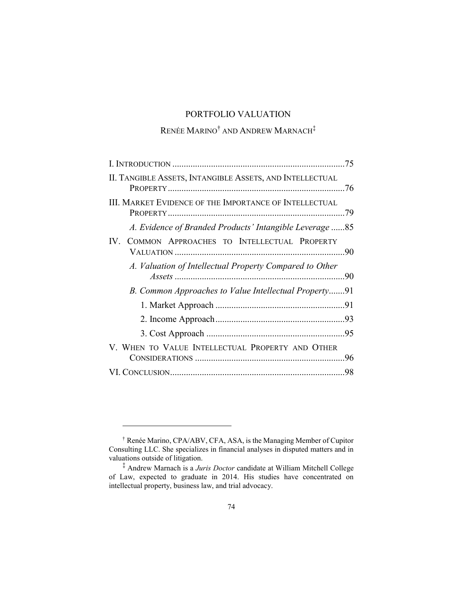# PORTFOLIO VALUATION

# $\mathsf{REN\acute{e}E}\mathsf{\mathbf{MARINO}}^{\dagger}$  and  $\mathsf{AND}\mathsf{REW}\mathsf{\mathbf{MARNACH}}^{\ddagger}$

| .79                                                     |
|---------------------------------------------------------|
| A. Evidence of Branded Products' Intangible Leverage 85 |
|                                                         |
| 90                                                      |
| B. Common Approaches to Value Intellectual Property91   |
|                                                         |
|                                                         |
|                                                         |
|                                                         |
| 96                                                      |
| 98                                                      |
|                                                         |

<sup>†</sup> Renée Marino, CPA/ABV, CFA, ASA, is the Managing Member of Cupitor Consulting LLC. She specializes in financial analyses in disputed matters and in valuations outside of litigation.

<sup>‡</sup> Andrew Marnach is a *Juris Doctor* candidate at William Mitchell College of Law, expected to graduate in 2014. His studies have concentrated on intellectual property, business law, and trial advocacy.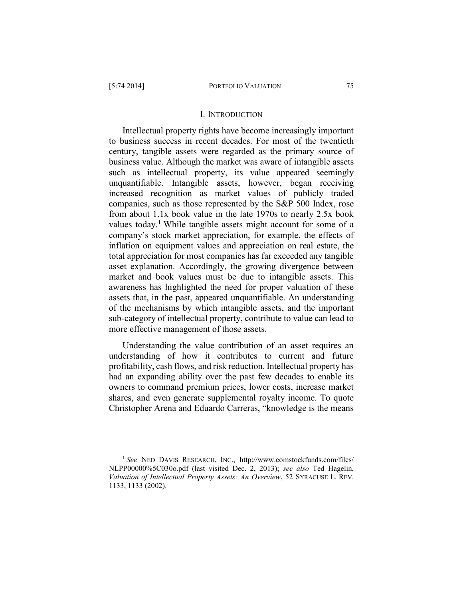#### I. INTRODUCTION

Intellectual property rights have become increasingly important to business success in recent decades. For most of the twentieth century, tangible assets were regarded as the primary source of business value. Although the market was aware of intangible assets such as intellectual property, its value appeared seemingly unquantifiable. Intangible assets, however, began receiving increased recognition as market values of publicly traded companies, such as those represented by the S&P 500 Index, rose from about 1.1x book value in the late 1970s to nearly 2.5x book values today.<sup>1</sup> While tangible assets might account for some of a company's stock market appreciation, for example, the effects of inflation on equipment values and appreciation on real estate, the total appreciation for most companies has far exceeded any tangible asset explanation. Accordingly, the growing divergence between market and book values must be due to intangible assets. This awareness has highlighted the need for proper valuation of these assets that, in the past, appeared unquantifiable. An understanding of the mechanisms by which intangible assets, and the important sub-category of intellectual property, contribute to value can lead to more effective management of those assets.

Understanding the value contribution of an asset requires an understanding of how it contributes to current and future profitability, cash flows, and risk reduction. Intellectual property has had an expanding ability over the past few decades to enable its owners to command premium prices, lower costs, increase market shares, and even generate supplemental royalty income. To quote Christopher Arena and Eduardo Carreras, "knowledge is the means

<sup>1</sup> *See* NED DAVIS RESEARCH, INC., http://www.comstockfunds.com/files/ NLPP00000%5C030o.pdf (last visited Dec. 2, 2013); *see also* Ted Hagelin, *Valuation of Intellectual Property Assets: An Overview*, 52 SYRACUSE L. REV. 1133, 1133 (2002).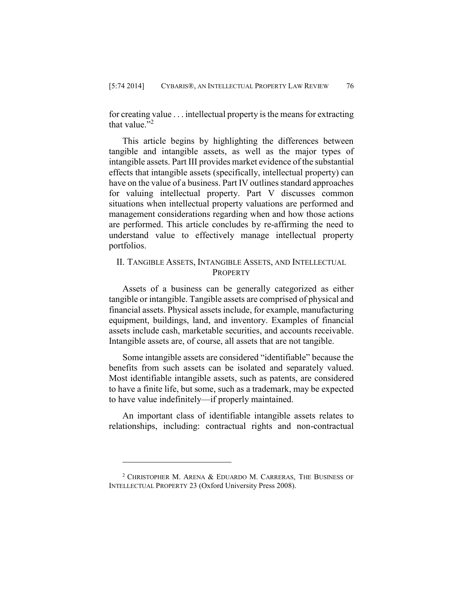for creating value . . . intellectual property is the means for extracting that value $"2$ 

This article begins by highlighting the differences between tangible and intangible assets, as well as the major types of intangible assets. Part III provides market evidence of the substantial effects that intangible assets (specifically, intellectual property) can have on the value of a business. Part IV outlines standard approaches for valuing intellectual property. Part V discusses common situations when intellectual property valuations are performed and management considerations regarding when and how those actions are performed. This article concludes by re-affirming the need to understand value to effectively manage intellectual property portfolios.

# II. TANGIBLE ASSETS, INTANGIBLE ASSETS, AND INTELLECTUAL **PROPERTY**

Assets of a business can be generally categorized as either tangible or intangible. Tangible assets are comprised of physical and financial assets. Physical assets include, for example, manufacturing equipment, buildings, land, and inventory. Examples of financial assets include cash, marketable securities, and accounts receivable. Intangible assets are, of course, all assets that are not tangible.

Some intangible assets are considered "identifiable" because the benefits from such assets can be isolated and separately valued. Most identifiable intangible assets, such as patents, are considered to have a finite life, but some, such as a trademark, may be expected to have value indefinitely—if properly maintained.

An important class of identifiable intangible assets relates to relationships, including: contractual rights and non-contractual

<sup>&</sup>lt;sup>2</sup> CHRISTOPHER M. ARENA  $&$  EDUARDO M. CARRERAS, THE BUSINESS OF INTELLECTUAL PROPERTY 23 (Oxford University Press 2008).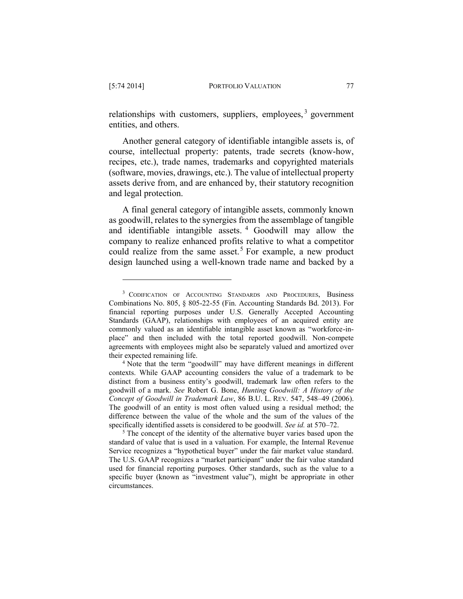relationships with customers, suppliers, employees,<sup>3</sup> government entities, and others.

Another general category of identifiable intangible assets is, of course, intellectual property: patents, trade secrets (know-how, recipes, etc.), trade names, trademarks and copyrighted materials (software, movies, drawings, etc.). The value of intellectual property assets derive from, and are enhanced by, their statutory recognition and legal protection.

A final general category of intangible assets, commonly known as goodwill, relates to the synergies from the assemblage of tangible and identifiable intangible assets. <sup>4</sup> Goodwill may allow the company to realize enhanced profits relative to what a competitor could realize from the same asset.<sup>5</sup> For example, a new product design launched using a well-known trade name and backed by a

<sup>&</sup>lt;sup>3</sup> CODIFICATION OF ACCOUNTING STANDARDS AND PROCEDURES, Business Combinations No. 805, § 805-22-55 (Fin. Accounting Standards Bd. 2013). For financial reporting purposes under U.S. Generally Accepted Accounting Standards (GAAP), relationships with employees of an acquired entity are commonly valued as an identifiable intangible asset known as "workforce-inplace" and then included with the total reported goodwill. Non-compete agreements with employees might also be separately valued and amortized over their expected remaining life.

<sup>4</sup> Note that the term "goodwill" may have different meanings in different contexts. While GAAP accounting considers the value of a trademark to be distinct from a business entity's goodwill, trademark law often refers to the goodwill of a mark. *See* Robert G. Bone, *Hunting Goodwill: A History of the Concept of Goodwill in Trademark Law*, 86 B.U. L. REV. 547, 548–49 (2006). The goodwill of an entity is most often valued using a residual method; the difference between the value of the whole and the sum of the values of the specifically identified assets is considered to be goodwill. *See id.* at 570–72.

<sup>&</sup>lt;sup>5</sup> The concept of the identity of the alternative buyer varies based upon the standard of value that is used in a valuation. For example, the Internal Revenue Service recognizes a "hypothetical buyer" under the fair market value standard. The U.S. GAAP recognizes a "market participant" under the fair value standard used for financial reporting purposes. Other standards, such as the value to a specific buyer (known as "investment value"), might be appropriate in other circumstances.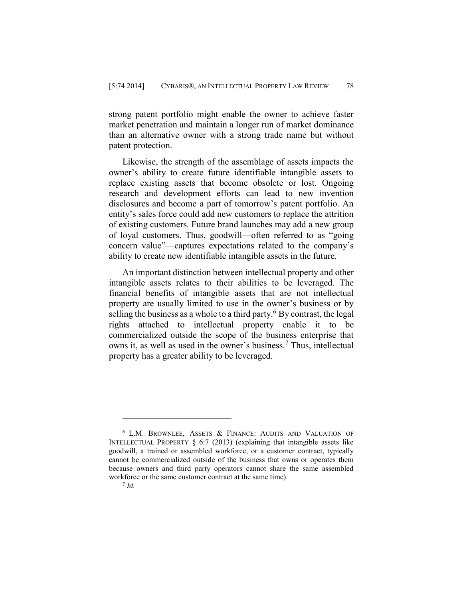strong patent portfolio might enable the owner to achieve faster market penetration and maintain a longer run of market dominance than an alternative owner with a strong trade name but without patent protection.

Likewise, the strength of the assemblage of assets impacts the owner's ability to create future identifiable intangible assets to replace existing assets that become obsolete or lost. Ongoing research and development efforts can lead to new invention disclosures and become a part of tomorrow's patent portfolio. An entity's sales force could add new customers to replace the attrition of existing customers. Future brand launches may add a new group of loyal customers. Thus, goodwill—often referred to as "going concern value"—captures expectations related to the company's ability to create new identifiable intangible assets in the future.

An important distinction between intellectual property and other intangible assets relates to their abilities to be leveraged. The financial benefits of intangible assets that are not intellectual property are usually limited to use in the owner's business or by selling the business as a whole to a third party.<sup>6</sup> By contrast, the legal rights attached to intellectual property enable it to be commercialized outside the scope of the business enterprise that owns it, as well as used in the owner's business.<sup>7</sup> Thus, intellectual property has a greater ability to be leveraged.

<sup>6</sup> L.M. BROWNLEE, ASSETS & FINANCE: AUDITS AND VALUATION OF INTELLECTUAL PROPERTY  $\S$  6:7 (2013) (explaining that intangible assets like goodwill, a trained or assembled workforce, or a customer contract, typically cannot be commercialized outside of the business that owns or operates them because owners and third party operators cannot share the same assembled workforce or the same customer contract at the same time).

<sup>7</sup> *Id.*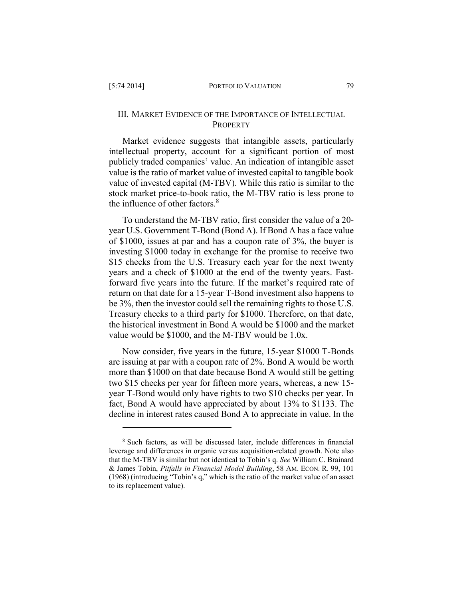# III. MARKET EVIDENCE OF THE IMPORTANCE OF INTELLECTUAL **PROPERTY**

Market evidence suggests that intangible assets, particularly intellectual property, account for a significant portion of most publicly traded companies' value. An indication of intangible asset value is the ratio of market value of invested capital to tangible book value of invested capital (M-TBV). While this ratio is similar to the stock market price-to-book ratio, the M-TBV ratio is less prone to the influence of other factors. $8$ 

To understand the M-TBV ratio, first consider the value of a 20 year U.S. Government T-Bond (Bond A). If Bond A has a face value of \$1000, issues at par and has a coupon rate of 3%, the buyer is investing \$1000 today in exchange for the promise to receive two \$15 checks from the U.S. Treasury each year for the next twenty years and a check of \$1000 at the end of the twenty years. Fastforward five years into the future. If the market's required rate of return on that date for a 15-year T-Bond investment also happens to be 3%, then the investor could sell the remaining rights to those U.S. Treasury checks to a third party for \$1000. Therefore, on that date, the historical investment in Bond A would be \$1000 and the market value would be \$1000, and the M-TBV would be 1.0x.

Now consider, five years in the future, 15-year \$1000 T-Bonds are issuing at par with a coupon rate of 2%. Bond A would be worth more than \$1000 on that date because Bond A would still be getting two \$15 checks per year for fifteen more years, whereas, a new 15 year T-Bond would only have rights to two \$10 checks per year. In fact, Bond A would have appreciated by about 13% to \$1133. The decline in interest rates caused Bond A to appreciate in value. In the

<sup>8</sup> Such factors, as will be discussed later, include differences in financial leverage and differences in organic versus acquisition-related growth. Note also that the M-TBV is similar but not identical to Tobin's q. *See* William C. Brainard & James Tobin, *Pitfalls in Financial Model Building*, 58 AM. ECON. R. 99, 101 (1968) (introducing "Tobin's q," which is the ratio of the market value of an asset to its replacement value).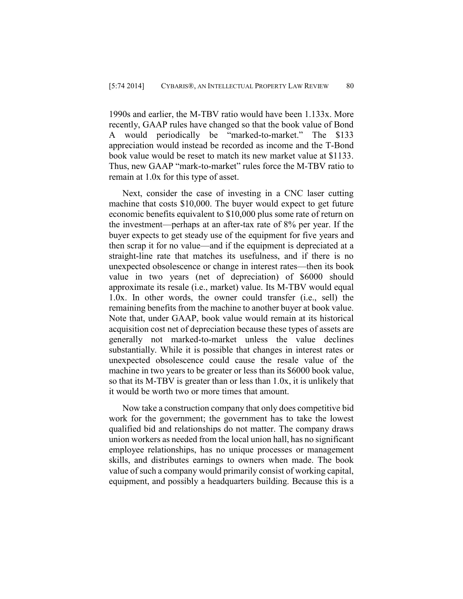1990s and earlier, the M-TBV ratio would have been 1.133x. More recently, GAAP rules have changed so that the book value of Bond A would periodically be "marked-to-market." The \$133 appreciation would instead be recorded as income and the T-Bond book value would be reset to match its new market value at \$1133. Thus, new GAAP "mark-to-market" rules force the M-TBV ratio to remain at 1.0x for this type of asset.

Next, consider the case of investing in a CNC laser cutting machine that costs \$10,000. The buyer would expect to get future economic benefits equivalent to \$10,000 plus some rate of return on the investment—perhaps at an after-tax rate of 8% per year. If the buyer expects to get steady use of the equipment for five years and then scrap it for no value—and if the equipment is depreciated at a straight-line rate that matches its usefulness, and if there is no unexpected obsolescence or change in interest rates—then its book value in two years (net of depreciation) of \$6000 should approximate its resale (i.e., market) value. Its M-TBV would equal 1.0x. In other words, the owner could transfer (i.e., sell) the remaining benefits from the machine to another buyer at book value. Note that, under GAAP, book value would remain at its historical acquisition cost net of depreciation because these types of assets are generally not marked-to-market unless the value declines substantially. While it is possible that changes in interest rates or unexpected obsolescence could cause the resale value of the machine in two years to be greater or less than its \$6000 book value, so that its M-TBV is greater than or less than 1.0x, it is unlikely that it would be worth two or more times that amount.

Now take a construction company that only does competitive bid work for the government; the government has to take the lowest qualified bid and relationships do not matter. The company draws union workers as needed from the local union hall, has no significant employee relationships, has no unique processes or management skills, and distributes earnings to owners when made. The book value of such a company would primarily consist of working capital, equipment, and possibly a headquarters building. Because this is a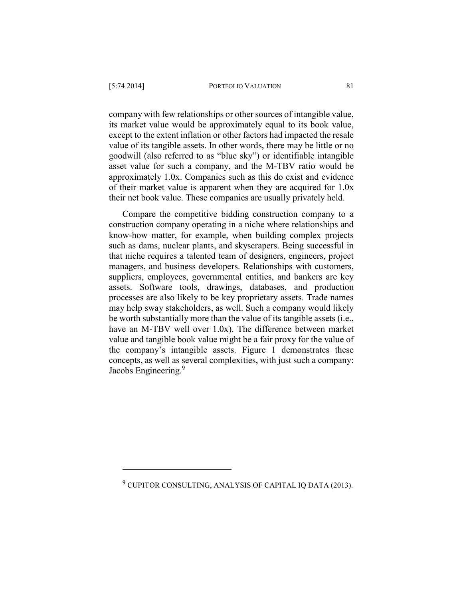company with few relationships or other sources of intangible value, its market value would be approximately equal to its book value, except to the extent inflation or other factors had impacted the resale value of its tangible assets. In other words, there may be little or no goodwill (also referred to as "blue sky") or identifiable intangible asset value for such a company, and the M-TBV ratio would be approximately 1.0x. Companies such as this do exist and evidence of their market value is apparent when they are acquired for 1.0x their net book value. These companies are usually privately held.

Compare the competitive bidding construction company to a construction company operating in a niche where relationships and know-how matter, for example, when building complex projects such as dams, nuclear plants, and skyscrapers. Being successful in that niche requires a talented team of designers, engineers, project managers, and business developers. Relationships with customers, suppliers, employees, governmental entities, and bankers are key assets. Software tools, drawings, databases, and production processes are also likely to be key proprietary assets. Trade names may help sway stakeholders, as well. Such a company would likely be worth substantially more than the value of its tangible assets (i.e., have an M-TBV well over 1.0x). The difference between market value and tangible book value might be a fair proxy for the value of the company's intangible assets. Figure 1 demonstrates these concepts, as well as several complexities, with just such a company: Jacobs Engineering.<sup>9</sup>

<sup>&</sup>lt;sup>9</sup> CUPITOR CONSULTING, ANALYSIS OF CAPITAL IQ DATA (2013).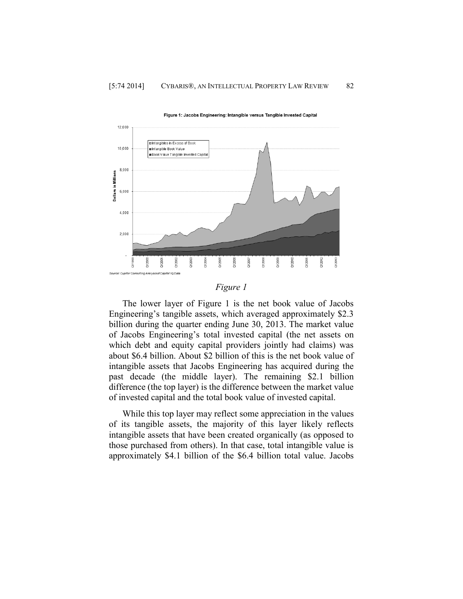

Figure 1: Jacobs Engineering: Intangible versus Tangible Invested Capital

### *Figure 1*

The lower layer of Figure 1 is the net book value of Jacobs Engineering's tangible assets, which averaged approximately \$2.3 billion during the quarter ending June 30, 2013. The market value of Jacobs Engineering's total invested capital (the net assets on which debt and equity capital providers jointly had claims) was about \$6.4 billion. About \$2 billion of this is the net book value of intangible assets that Jacobs Engineering has acquired during the past decade (the middle layer). The remaining \$2.1 billion difference (the top layer) is the difference between the market value of invested capital and the total book value of invested capital.

While this top layer may reflect some appreciation in the values of its tangible assets, the majority of this layer likely reflects intangible assets that have been created organically (as opposed to those purchased from others). In that case, total intangible value is approximately \$4.1 billion of the \$6.4 billion total value. Jacobs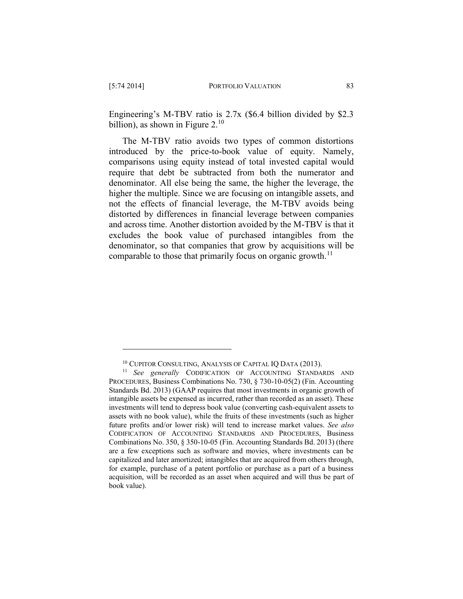Engineering's M-TBV ratio is 2.7x (\$6.4 billion divided by \$2.3 billion), as shown in Figure  $2^{10}$ 

The M-TBV ratio avoids two types of common distortions introduced by the price-to-book value of equity. Namely, comparisons using equity instead of total invested capital would require that debt be subtracted from both the numerator and denominator. All else being the same, the higher the leverage, the higher the multiple. Since we are focusing on intangible assets, and not the effects of financial leverage, the M-TBV avoids being distorted by differences in financial leverage between companies and across time. Another distortion avoided by the M-TBV is that it excludes the book value of purchased intangibles from the denominator, so that companies that grow by acquisitions will be comparable to those that primarily focus on organic growth.<sup>11</sup>

<sup>&</sup>lt;sup>10</sup> CUPITOR CONSULTING, ANALYSIS OF CAPITAL IQ DATA (2013).

<sup>11</sup> *See generally* CODIFICATION OF ACCOUNTING STANDARDS AND PROCEDURES, Business Combinations No. 730, § 730-10-05(2) (Fin. Accounting Standards Bd. 2013) (GAAP requires that most investments in organic growth of intangible assets be expensed as incurred, rather than recorded as an asset). These investments will tend to depress book value (converting cash-equivalent assets to assets with no book value), while the fruits of these investments (such as higher future profits and/or lower risk) will tend to increase market values. *See also* CODIFICATION OF ACCOUNTING STANDARDS AND PROCEDURES, Business Combinations No. 350, § 350-10-05 (Fin. Accounting Standards Bd. 2013) (there are a few exceptions such as software and movies, where investments can be capitalized and later amortized; intangibles that are acquired from others through, for example, purchase of a patent portfolio or purchase as a part of a business acquisition, will be recorded as an asset when acquired and will thus be part of book value).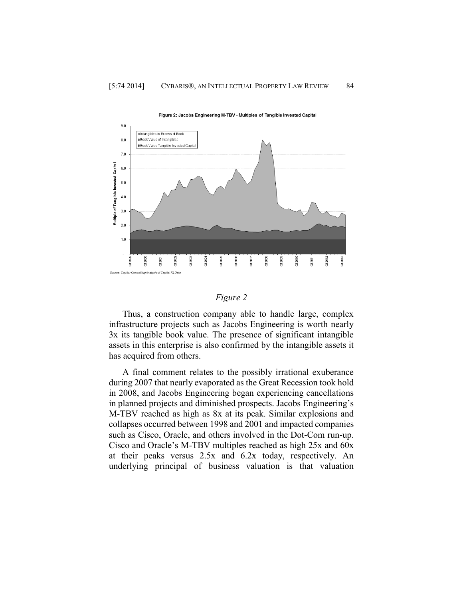

Figure 2: Jacobs Engineering M-TBV - Multiples of Tangible Invested Capital

#### *Figure 2*

Thus, a construction company able to handle large, complex infrastructure projects such as Jacobs Engineering is worth nearly 3x its tangible book value. The presence of significant intangible assets in this enterprise is also confirmed by the intangible assets it has acquired from others.

A final comment relates to the possibly irrational exuberance during 2007 that nearly evaporated as the Great Recession took hold in 2008, and Jacobs Engineering began experiencing cancellations in planned projects and diminished prospects. Jacobs Engineering's M-TBV reached as high as 8x at its peak. Similar explosions and collapses occurred between 1998 and 2001 and impacted companies such as Cisco, Oracle, and others involved in the Dot-Com run-up. Cisco and Oracle's M-TBV multiples reached as high 25x and 60x at their peaks versus 2.5x and 6.2x today, respectively. An underlying principal of business valuation is that valuation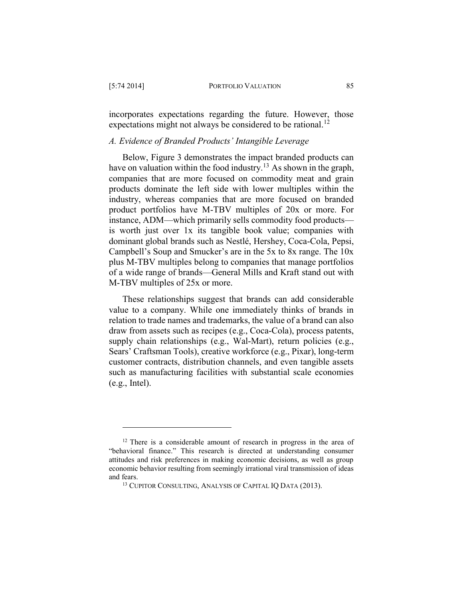incorporates expectations regarding the future. However, those expectations might not always be considered to be rational.<sup>12</sup>

# *A. Evidence of Branded Products' Intangible Leverage*

Below, Figure 3 demonstrates the impact branded products can have on valuation within the food industry.<sup>13</sup> As shown in the graph, companies that are more focused on commodity meat and grain products dominate the left side with lower multiples within the industry, whereas companies that are more focused on branded product portfolios have M-TBV multiples of 20x or more. For instance, ADM—which primarily sells commodity food products is worth just over 1x its tangible book value; companies with dominant global brands such as Nestlé, Hershey, Coca-Cola, Pepsi, Campbell's Soup and Smucker's are in the 5x to 8x range. The 10x plus M-TBV multiples belong to companies that manage portfolios of a wide range of brands—General Mills and Kraft stand out with M-TBV multiples of 25x or more.

These relationships suggest that brands can add considerable value to a company. While one immediately thinks of brands in relation to trade names and trademarks, the value of a brand can also draw from assets such as recipes (e.g., Coca-Cola), process patents, supply chain relationships (e.g., Wal-Mart), return policies (e.g., Sears' Craftsman Tools), creative workforce (e.g., Pixar), long-term customer contracts, distribution channels, and even tangible assets such as manufacturing facilities with substantial scale economies (e.g., Intel).

<sup>&</sup>lt;sup>12</sup> There is a considerable amount of research in progress in the area of "behavioral finance." This research is directed at understanding consumer attitudes and risk preferences in making economic decisions, as well as group economic behavior resulting from seemingly irrational viral transmission of ideas and fears.

<sup>&</sup>lt;sup>13</sup> CUPITOR CONSULTING, ANALYSIS OF CAPITAL IQ DATA (2013).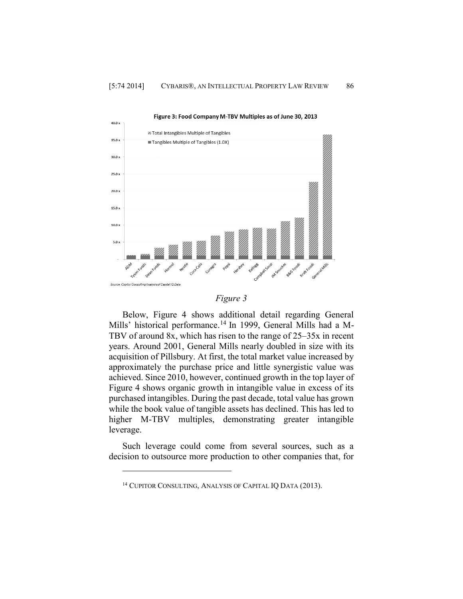



Below, Figure 4 shows additional detail regarding General Mills' historical performance.<sup>14</sup> In 1999, General Mills had a M-TBV of around 8x, which has risen to the range of 25–35x in recent years. Around 2001, General Mills nearly doubled in size with its acquisition of Pillsbury. At first, the total market value increased by approximately the purchase price and little synergistic value was achieved. Since 2010, however, continued growth in the top layer of Figure 4 shows organic growth in intangible value in excess of its purchased intangibles. During the past decade, total value has grown while the book value of tangible assets has declined. This has led to higher M-TBV multiples, demonstrating greater intangible leverage.

Such leverage could come from several sources, such as a decision to outsource more production to other companies that, for

<sup>&</sup>lt;sup>14</sup> CUPITOR CONSULTING, ANALYSIS OF CAPITAL IQ DATA (2013).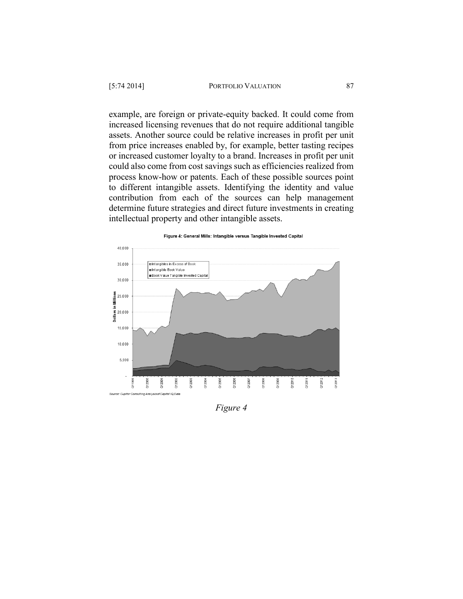example, are foreign or private-equity backed. It could come from increased licensing revenues that do not require additional tangible assets. Another source could be relative increases in profit per unit from price increases enabled by, for example, better tasting recipes or increased customer loyalty to a brand. Increases in profit per unit could also come from cost savings such as efficiencies realized from process know-how or patents. Each of these possible sources point to different intangible assets. Identifying the identity and value contribution from each of the sources can help management determine future strategies and direct future investments in creating intellectual property and other intangible assets.

#### Figure 4: General Mills: Intangible versus Tangible Invested Capital 40,000 35,000 **OIntangibles in Excess of Book** mintangible Book Value ■Book V alue Tangible Invested Capital 30,000  $\begin{array}{l} \underline{\text{min}} \\ \underline{\text{min}} \\ \underline{\text{min}} \\ \underline{\text{min}} \\ \underline{\text{min}} \\ 20,000 \\ \end{array}$ 15,000 10,000  $5,000$ 2004 **DI0200** X12008  $200$  $2001$ **DUCK** CA 2003  $Q12005$  $2007$  $2005$  $201$  $2011$ CR.  $n201$ ਨੋ Source: Cupitor Consulting Analysis of Capital IQ Data

*Figure 4*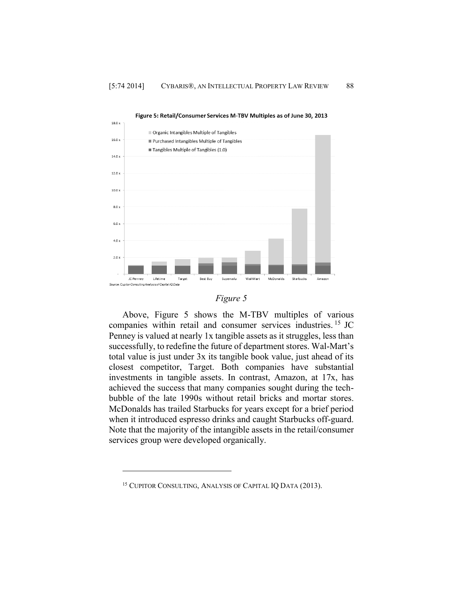



Above, Figure 5 shows the M-TBV multiples of various companies within retail and consumer services industries. <sup>15</sup> JC Penney is valued at nearly 1x tangible assets as it struggles, less than successfully, to redefine the future of department stores. Wal-Mart's total value is just under 3x its tangible book value, just ahead of its closest competitor, Target. Both companies have substantial investments in tangible assets. In contrast, Amazon, at 17x, has achieved the success that many companies sought during the techbubble of the late 1990s without retail bricks and mortar stores. McDonalds has trailed Starbucks for years except for a brief period when it introduced espresso drinks and caught Starbucks off-guard. Note that the majority of the intangible assets in the retail/consumer services group were developed organically.

<sup>&</sup>lt;sup>15</sup> CUPITOR CONSULTING, ANALYSIS OF CAPITAL IQ DATA (2013).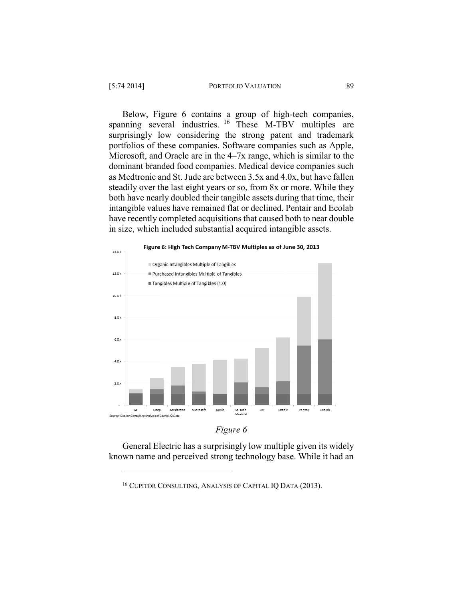Below, Figure 6 contains a group of high-tech companies, spanning several industries. <sup>16</sup> These M-TBV multiples are surprisingly low considering the strong patent and trademark portfolios of these companies. Software companies such as Apple, Microsoft, and Oracle are in the 4–7x range, which is similar to the dominant branded food companies. Medical device companies such as Medtronic and St. Jude are between 3.5x and 4.0x, but have fallen steadily over the last eight years or so, from 8x or more. While they both have nearly doubled their tangible assets during that time, their intangible values have remained flat or declined. Pentair and Ecolab have recently completed acquisitions that caused both to near double in size, which included substantial acquired intangible assets.





General Electric has a surprisingly low multiple given its widely known name and perceived strong technology base. While it had an

<sup>16</sup> CUPITOR CONSULTING, ANALYSIS OF CAPITAL IQ DATA (2013).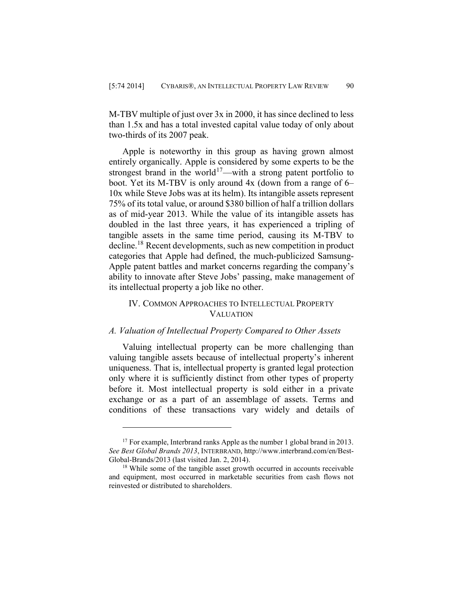M-TBV multiple of just over 3x in 2000, it has since declined to less than 1.5x and has a total invested capital value today of only about two-thirds of its 2007 peak.

Apple is noteworthy in this group as having grown almost entirely organically. Apple is considered by some experts to be the strongest brand in the world<sup>17</sup>—with a strong patent portfolio to boot. Yet its M-TBV is only around 4x (down from a range of 6– 10x while Steve Jobs was at its helm). Its intangible assets represent 75% of its total value, or around \$380 billion of half a trillion dollars as of mid-year 2013. While the value of its intangible assets has doubled in the last three years, it has experienced a tripling of tangible assets in the same time period, causing its M-TBV to decline. <sup>18</sup> Recent developments, such as new competition in product categories that Apple had defined, the much-publicized Samsung-Apple patent battles and market concerns regarding the company's ability to innovate after Steve Jobs' passing, make management of its intellectual property a job like no other.

# IV. COMMON APPROACHES TO INTELLECTUAL PROPERTY VALUATION

# *A. Valuation of Intellectual Property Compared to Other Assets*

Valuing intellectual property can be more challenging than valuing tangible assets because of intellectual property's inherent uniqueness. That is, intellectual property is granted legal protection only where it is sufficiently distinct from other types of property before it. Most intellectual property is sold either in a private exchange or as a part of an assemblage of assets. Terms and conditions of these transactions vary widely and details of

<sup>&</sup>lt;sup>17</sup> For example, Interbrand ranks Apple as the number 1 global brand in 2013. *See Best Global Brands 2013*, INTERBRAND, [http://www.interbrand.com/en/Best-](http://‌/‌www.interbrand.com/‌en/‌Best-Global-Brands/‌2013)[Global-Brands/2013](http://‌/‌www.interbrand.com/‌en/‌Best-Global-Brands/‌2013) (last visited Jan. 2, 2014).

<sup>&</sup>lt;sup>18</sup> While some of the tangible asset growth occurred in accounts receivable and equipment, most occurred in marketable securities from cash flows not reinvested or distributed to shareholders.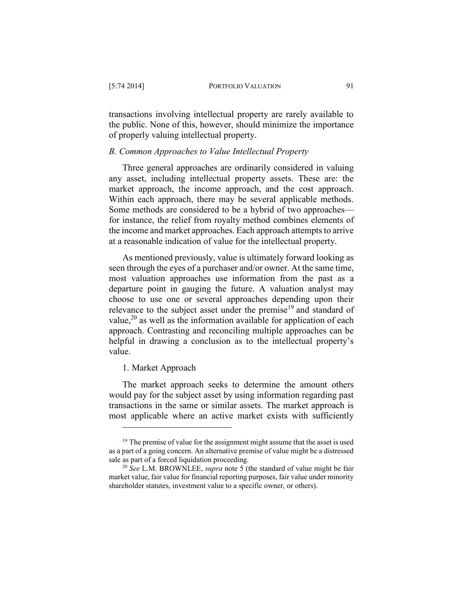transactions involving intellectual property are rarely available to the public. None of this, however, should minimize the importance of properly valuing intellectual property.

### *B. Common Approaches to Value Intellectual Property*

Three general approaches are ordinarily considered in valuing any asset, including intellectual property assets. These are: the market approach, the income approach, and the cost approach. Within each approach, there may be several applicable methods. Some methods are considered to be a hybrid of two approaches for instance, the relief from royalty method combines elements of the income and market approaches. Each approach attempts to arrive at a reasonable indication of value for the intellectual property.

As mentioned previously, value is ultimately forward looking as seen through the eyes of a purchaser and/or owner. At the same time, most valuation approaches use information from the past as a departure point in gauging the future. A valuation analyst may choose to use one or several approaches depending upon their relevance to the subject asset under the premise<sup>19</sup> and standard of value,<sup>20</sup> as well as the information available for application of each approach. Contrasting and reconciling multiple approaches can be helpful in drawing a conclusion as to the intellectual property's value.

# 1. Market Approach

 $\overline{a}$ 

The market approach seeks to determine the amount others would pay for the subject asset by using information regarding past transactions in the same or similar assets. The market approach is most applicable where an active market exists with sufficiently

<sup>&</sup>lt;sup>19</sup> The premise of value for the assignment might assume that the asset is used as a part of a going concern. An alternative premise of value might be a distressed sale as part of a forced liquidation proceeding.

<sup>20</sup> *See* L.M. BROWNLEE, *supra* note [5](#page--1-10) (the standard of value might be fair market value, fair value for financial reporting purposes, fair value under minority shareholder statutes, investment value to a specific owner, or others).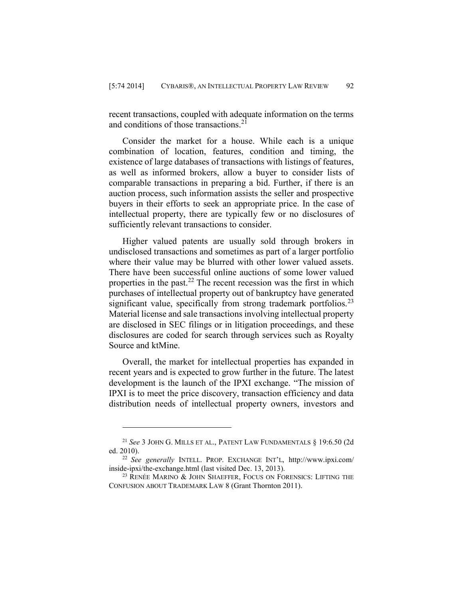recent transactions, coupled with adequate information on the terms and conditions of those transactions.<sup>21</sup>

Consider the market for a house. While each is a unique combination of location, features, condition and timing, the existence of large databases of transactions with listings of features, as well as informed brokers, allow a buyer to consider lists of comparable transactions in preparing a bid. Further, if there is an auction process, such information assists the seller and prospective buyers in their efforts to seek an appropriate price. In the case of intellectual property, there are typically few or no disclosures of sufficiently relevant transactions to consider.

Higher valued patents are usually sold through brokers in undisclosed transactions and sometimes as part of a larger portfolio where their value may be blurred with other lower valued assets. There have been successful online auctions of some lower valued properties in the past. $22$  The recent recession was the first in which purchases of intellectual property out of bankruptcy have generated significant value, specifically from strong trademark portfolios.<sup>23</sup> Material license and sale transactions involving intellectual property are disclosed in SEC filings or in litigation proceedings, and these disclosures are coded for search through services such as Royalty Source and ktMine.

Overall, the market for intellectual properties has expanded in recent years and is expected to grow further in the future. The latest development is the launch of the IPXI exchange. "The mission of IPXI is to meet the price discovery, transaction efficiency and data distribution needs of intellectual property owners, investors and

<sup>21</sup> *See* 3 JOHN G. MILLS ET AL., PATENT LAW FUNDAMENTALS § 19:6.50 (2d ed. 2010).

<sup>22</sup> *See generally* INTELL. PROP. EXCHANGE INT'L, http://www.ipxi.com/ inside-ipxi/the-exchange.html (last visited Dec. 13, 2013).

<sup>&</sup>lt;sup>23</sup> RENÉE MARINO & JOHN SHAEFFER, FOCUS ON FORENSICS: LIFTING THE CONFUSION ABOUT TRADEMARK LAW 8 (Grant Thornton 2011).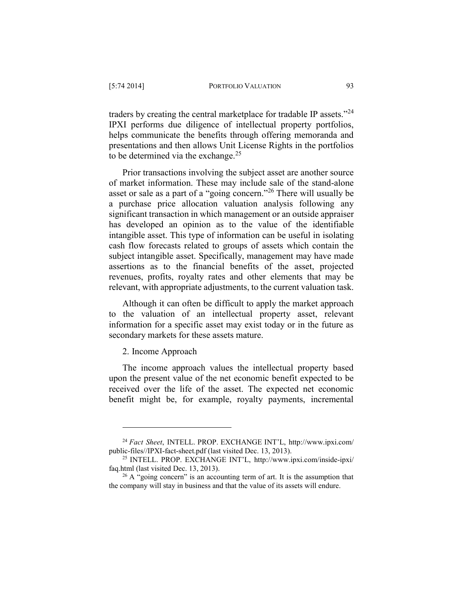traders by creating the central marketplace for tradable IP assets."<sup>24</sup> IPXI performs due diligence of intellectual property portfolios, helps communicate the benefits through offering memoranda and presentations and then allows Unit License Rights in the portfolios to be determined via the exchange. $25$ 

Prior transactions involving the subject asset are another source of market information. These may include sale of the stand-alone asset or sale as a part of a "going concern."<sup>26</sup> There will usually be a purchase price allocation valuation analysis following any significant transaction in which management or an outside appraiser has developed an opinion as to the value of the identifiable intangible asset. This type of information can be useful in isolating cash flow forecasts related to groups of assets which contain the subject intangible asset. Specifically, management may have made assertions as to the financial benefits of the asset, projected revenues, profits, royalty rates and other elements that may be relevant, with appropriate adjustments, to the current valuation task.

Although it can often be difficult to apply the market approach to the valuation of an intellectual property asset, relevant information for a specific asset may exist today or in the future as secondary markets for these assets mature.

2. Income Approach

 $\overline{a}$ 

The income approach values the intellectual property based upon the present value of the net economic benefit expected to be received over the life of the asset. The expected net economic benefit might be, for example, royalty payments, incremental

<sup>24</sup> *Fact Sheet*, INTELL. PROP. EXCHANGE INT'L, http://www.ipxi.com/ public-files//IPXI-fact-sheet.pdf (last visited Dec. 13, 2013).

<sup>25</sup> INTELL. PROP. EXCHANGE INT'L, http://www.ipxi.com/inside-ipxi/ faq.html (last visited Dec. 13, 2013).

 $26$  A "going concern" is an accounting term of art. It is the assumption that the company will stay in business and that the value of its assets will endure.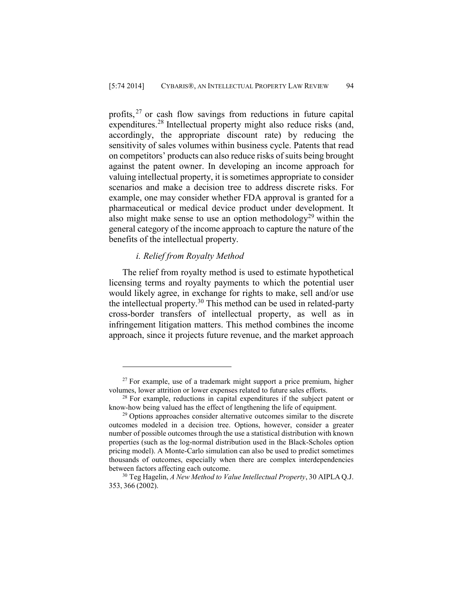profits,<sup>27</sup> or cash flow savings from reductions in future capital expenditures.<sup>28</sup> Intellectual property might also reduce risks (and, accordingly, the appropriate discount rate) by reducing the sensitivity of sales volumes within business cycle. Patents that read on competitors' products can also reduce risks of suits being brought against the patent owner. In developing an income approach for valuing intellectual property, it is sometimes appropriate to consider scenarios and make a decision tree to address discrete risks. For example, one may consider whether FDA approval is granted for a pharmaceutical or medical device product under development. It also might make sense to use an option methodology<sup>29</sup> within the general category of the income approach to capture the nature of the benefits of the intellectual property.

### *i. Relief from Royalty Method*

 $\overline{a}$ 

The relief from royalty method is used to estimate hypothetical licensing terms and royalty payments to which the potential user would likely agree, in exchange for rights to make, sell and/or use the intellectual property.<sup>30</sup> This method can be used in related-party cross-border transfers of intellectual property, as well as in infringement litigation matters. This method combines the income approach, since it projects future revenue, and the market approach

 $27$  For example, use of a trademark might support a price premium, higher volumes, lower attrition or lower expenses related to future sales efforts.

<sup>&</sup>lt;sup>28</sup> For example, reductions in capital expenditures if the subject patent or know-how being valued has the effect of lengthening the life of equipment.

<sup>&</sup>lt;sup>29</sup> Options approaches consider alternative outcomes similar to the discrete outcomes modeled in a decision tree. Options, however, consider a greater number of possible outcomes through the use a statistical distribution with known properties (such as the log-normal distribution used in the Black-Scholes option pricing model). A Monte-Carlo simulation can also be used to predict sometimes thousands of outcomes, especially when there are complex interdependencies between factors affecting each outcome.

<sup>30</sup> Teg Hagelin, *A New Method to Value Intellectual Property*, 30 AIPLA Q.J. 353, 366 (2002).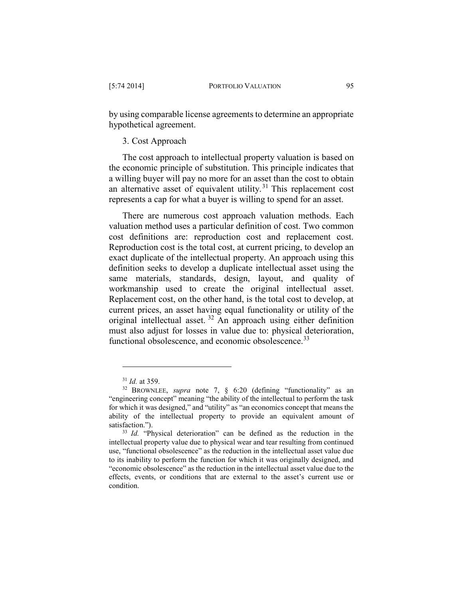by using comparable license agreements to determine an appropriate hypothetical agreement.

# 3. Cost Approach

The cost approach to intellectual property valuation is based on the economic principle of substitution. This principle indicates that a willing buyer will pay no more for an asset than the cost to obtain an alternative asset of equivalent utility.<sup>31</sup> This replacement cost represents a cap for what a buyer is willing to spend for an asset.

There are numerous cost approach valuation methods. Each valuation method uses a particular definition of cost. Two common cost definitions are: reproduction cost and replacement cost. Reproduction cost is the total cost, at current pricing, to develop an exact duplicate of the intellectual property. An approach using this definition seeks to develop a duplicate intellectual asset using the same materials, standards, design, layout, and quality of workmanship used to create the original intellectual asset. Replacement cost, on the other hand, is the total cost to develop, at current prices, an asset having equal functionality or utility of the original intellectual asset. <sup>32</sup> An approach using either definition must also adjust for losses in value due to: physical deterioration, functional obsolescence, and economic obsolescence.<sup>33</sup>

<sup>31</sup> *Id.* at 359.

<sup>32</sup> BROWNLEE, *supra* note 7, § 6:20 (defining "functionality" as an "engineering concept" meaning "the ability of the intellectual to perform the task for which it was designed," and "utility" as "an economics concept that means the ability of the intellectual property to provide an equivalent amount of satisfaction.").

<sup>&</sup>lt;sup>33</sup> *Id.* "Physical deterioration" can be defined as the reduction in the intellectual property value due to physical wear and tear resulting from continued use, "functional obsolescence" as the reduction in the intellectual asset value due to its inability to perform the function for which it was originally designed, and "economic obsolescence" as the reduction in the intellectual asset value due to the effects, events, or conditions that are external to the asset's current use or condition.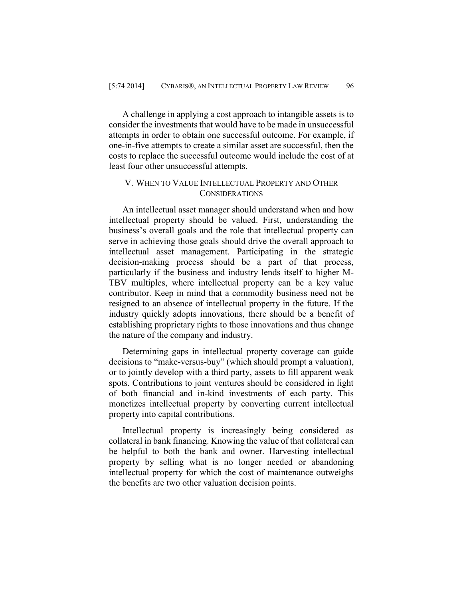A challenge in applying a cost approach to intangible assets is to consider the investments that would have to be made in unsuccessful attempts in order to obtain one successful outcome. For example, if one-in-five attempts to create a similar asset are successful, then the costs to replace the successful outcome would include the cost of at least four other unsuccessful attempts.

# V. WHEN TO VALUE INTELLECTUAL PROPERTY AND OTHER **CONSIDERATIONS**

An intellectual asset manager should understand when and how intellectual property should be valued. First, understanding the business's overall goals and the role that intellectual property can serve in achieving those goals should drive the overall approach to intellectual asset management. Participating in the strategic decision-making process should be a part of that process, particularly if the business and industry lends itself to higher M-TBV multiples, where intellectual property can be a key value contributor. Keep in mind that a commodity business need not be resigned to an absence of intellectual property in the future. If the industry quickly adopts innovations, there should be a benefit of establishing proprietary rights to those innovations and thus change the nature of the company and industry.

Determining gaps in intellectual property coverage can guide decisions to "make-versus-buy" (which should prompt a valuation), or to jointly develop with a third party, assets to fill apparent weak spots. Contributions to joint ventures should be considered in light of both financial and in-kind investments of each party. This monetizes intellectual property by converting current intellectual property into capital contributions.

Intellectual property is increasingly being considered as collateral in bank financing. Knowing the value of that collateral can be helpful to both the bank and owner. Harvesting intellectual property by selling what is no longer needed or abandoning intellectual property for which the cost of maintenance outweighs the benefits are two other valuation decision points.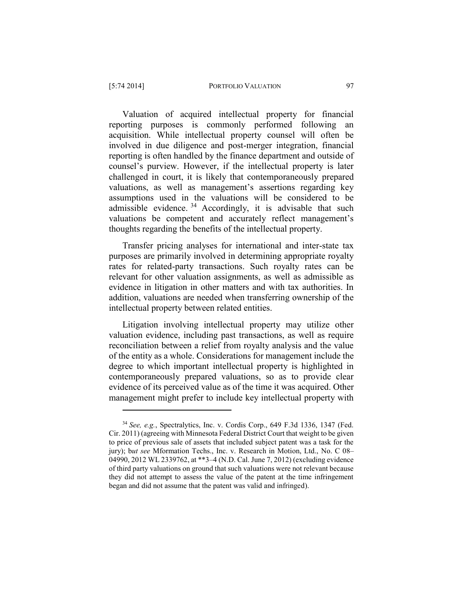Valuation of acquired intellectual property for financial reporting purposes is commonly performed following an acquisition. While intellectual property counsel will often be involved in due diligence and post-merger integration, financial reporting is often handled by the finance department and outside of counsel's purview. However, if the intellectual property is later challenged in court, it is likely that contemporaneously prepared valuations, as well as management's assertions regarding key assumptions used in the valuations will be considered to be admissible evidence. <sup>34</sup> Accordingly, it is advisable that such valuations be competent and accurately reflect management's thoughts regarding the benefits of the intellectual property.

Transfer pricing analyses for international and inter-state tax purposes are primarily involved in determining appropriate royalty rates for related-party transactions. Such royalty rates can be relevant for other valuation assignments, as well as admissible as evidence in litigation in other matters and with tax authorities. In addition, valuations are needed when transferring ownership of the intellectual property between related entities.

Litigation involving intellectual property may utilize other valuation evidence, including past transactions, as well as require reconciliation between a relief from royalty analysis and the value of the entity as a whole. Considerations for management include the degree to which important intellectual property is highlighted in contemporaneously prepared valuations, so as to provide clear evidence of its perceived value as of the time it was acquired. Other management might prefer to include key intellectual property with

<sup>34</sup> *See, e.g.*, Spectralytics, Inc. v. Cordis Corp., 649 F.3d 1336, 1347 (Fed. Cir. 2011) (agreeing with Minnesota Federal District Court that weight to be given to price of previous sale of assets that included subject patent was a task for the jury); b*ut see* Mformation Techs., Inc. v. Research in Motion, Ltd., No. C 08– 04990, 2012 WL 2339762, at \*\*3–4 (N.D. Cal. June 7, 2012) (excluding evidence of third party valuations on ground that such valuations were not relevant because they did not attempt to assess the value of the patent at the time infringement began and did not assume that the patent was valid and infringed).